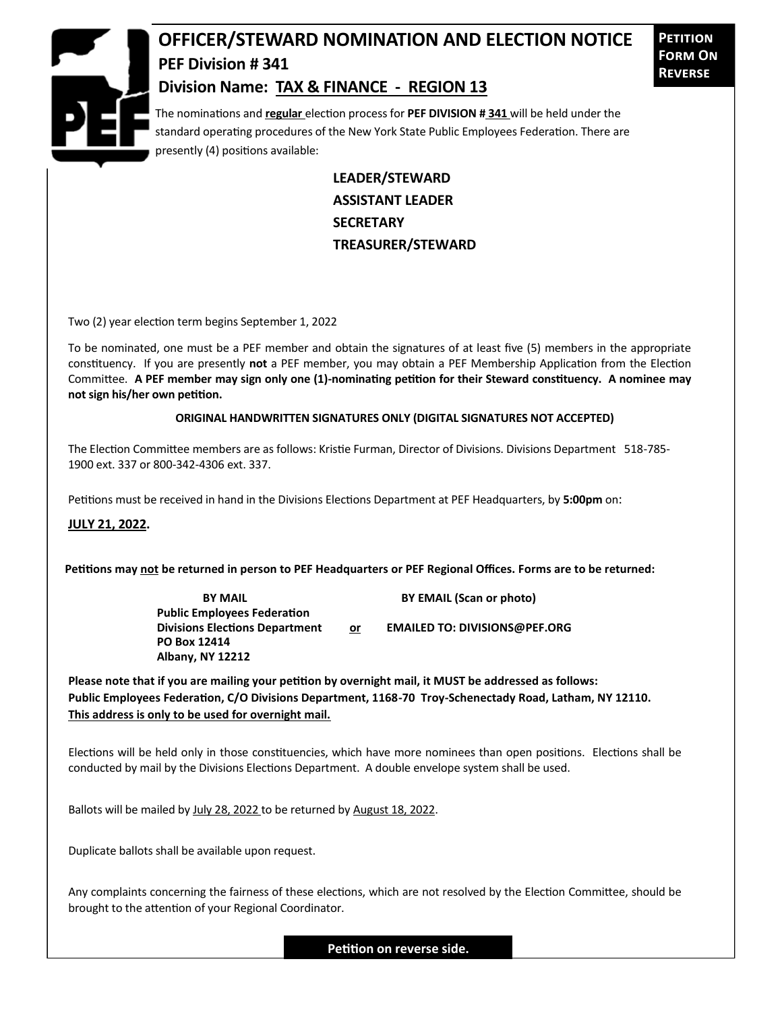

## **OFFICER/STEWARD NOMINATION AND ELECTION NOTICE PEF Division # 341 Division Name: TAX & FINANCE - REGION 13**

**Petition Form On Reverse**

The nominations and **regular** election process for **PEF DIVISION # 341** will be held under the standard operating procedures of the New York State Public Employees Federation. There are presently (4) positions available:

> **LEADER/STEWARD ASSISTANT LEADER SECRETARY TREASURER/STEWARD**

Two (2) year election term begins September 1, 2022

To be nominated, one must be a PEF member and obtain the signatures of at least five (5) members in the appropriate constituency. If you are presently **not** a PEF member, you may obtain a PEF Membership Application from the Election Committee. **A PEF member may sign only one (1)-nominating petition for their Steward constituency. A nominee may not sign his/her own petition.**

## **ORIGINAL HANDWRITTEN SIGNATURES ONLY (DIGITAL SIGNATURES NOT ACCEPTED)**

The Election Committee members are as follows: Kristie Furman, Director of Divisions. Divisions Department 518-785- 1900 ext. 337 or 800-342-4306 ext. 337.

Petitions must be received in hand in the Divisions Elections Department at PEF Headquarters, by **5:00pm** on:

**JULY 21, 2022.**

**Petitions may not be returned in person to PEF Headquarters or PEF Regional Offices. Forms are to be returned:**

**Public Employees Federation PO Box 12414 Albany, NY 12212**

**BY MAIL BY EMAIL (Scan or photo)** 

Divisions Elections Department or **EMAILED TO: DIVISIONS@PEF.ORG** 

**Please note that if you are mailing your petition by overnight mail, it MUST be addressed as follows: Public Employees Federation, C/O Divisions Department, 1168-70 Troy-Schenectady Road, Latham, NY 12110. This address is only to be used for overnight mail.**

Elections will be held only in those constituencies, which have more nominees than open positions. Elections shall be conducted by mail by the Divisions Elections Department. A double envelope system shall be used.

Ballots will be mailed by July 28, 2022 to be returned by August 18, 2022.

Duplicate ballots shall be available upon request.

Any complaints concerning the fairness of these elections, which are not resolved by the Election Committee, should be brought to the attention of your Regional Coordinator.

**Petition on reverse side.**